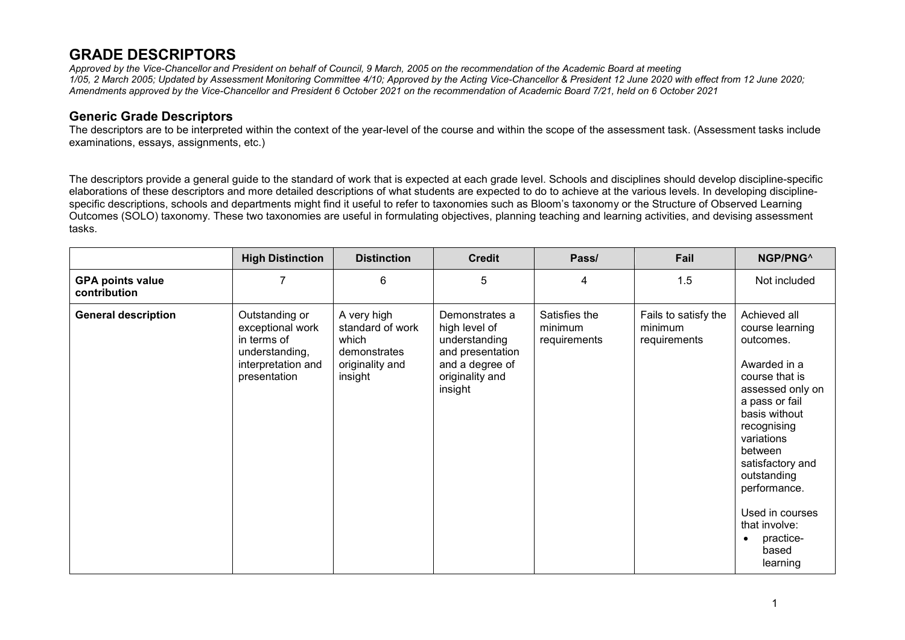## **GRADE DESCRIPTORS**

Approved by the Vice-Chancellor and President on behalf of Council. 9 March, 2005 on the recommendation of the Academic Board at meeting 1/05, 2 March 2005; Updated by Assessment Monitoring Committee 4/10; Approved by the Acting Vice-Chancellor & President 12 June 2020 with effect from 12 June 2020; *Amendments approved by the Vice-Chancellor and President 6 October 2021 on the recommendation of Academic Board 7/21, held on 6 October 2021*

## **Generic Grade Descriptors**

The descriptors are to be interpreted within the context of the year-level of the course and within the scope of the assessment task. (Assessment tasks include examinations, essays, assignments, etc.)

The descriptors provide a general guide to the standard of work that is expected at each grade level. Schools and disciplines should develop discipline-specific elaborations of these descriptors and more detailed descriptions of what students are expected to do to achieve at the various levels. In developing disciplinespecific descriptions, schools and departments might find it useful to refer to taxonomies such as Bloom's taxonomy or the Structure of Observed Learning Outcomes (SOLO) taxonomy. These two taxonomies are useful in formulating objectives, planning teaching and learning activities, and devising assessment tasks.

|                                         | <b>High Distinction</b>                                                                                   | <b>Distinction</b>                                                                     | <b>Credit</b>                                                                                                         | Pass/                                    | Fail                                            | NGP/PNG^                                                                                                                                                                                                                                                                                                            |
|-----------------------------------------|-----------------------------------------------------------------------------------------------------------|----------------------------------------------------------------------------------------|-----------------------------------------------------------------------------------------------------------------------|------------------------------------------|-------------------------------------------------|---------------------------------------------------------------------------------------------------------------------------------------------------------------------------------------------------------------------------------------------------------------------------------------------------------------------|
| <b>GPA points value</b><br>contribution |                                                                                                           | 6                                                                                      | 5                                                                                                                     | 4                                        | 1.5                                             | Not included                                                                                                                                                                                                                                                                                                        |
| <b>General description</b>              | Outstanding or<br>exceptional work<br>in terms of<br>understanding,<br>interpretation and<br>presentation | A very high<br>standard of work<br>which<br>demonstrates<br>originality and<br>insight | Demonstrates a<br>high level of<br>understanding<br>and presentation<br>and a degree of<br>originality and<br>insight | Satisfies the<br>minimum<br>requirements | Fails to satisfy the<br>minimum<br>requirements | Achieved all<br>course learning<br>outcomes.<br>Awarded in a<br>course that is<br>assessed only on<br>a pass or fail<br>basis without<br>recognising<br>variations<br>between<br>satisfactory and<br>outstanding<br>performance.<br>Used in courses<br>that involve:<br>practice-<br>$\bullet$<br>based<br>learning |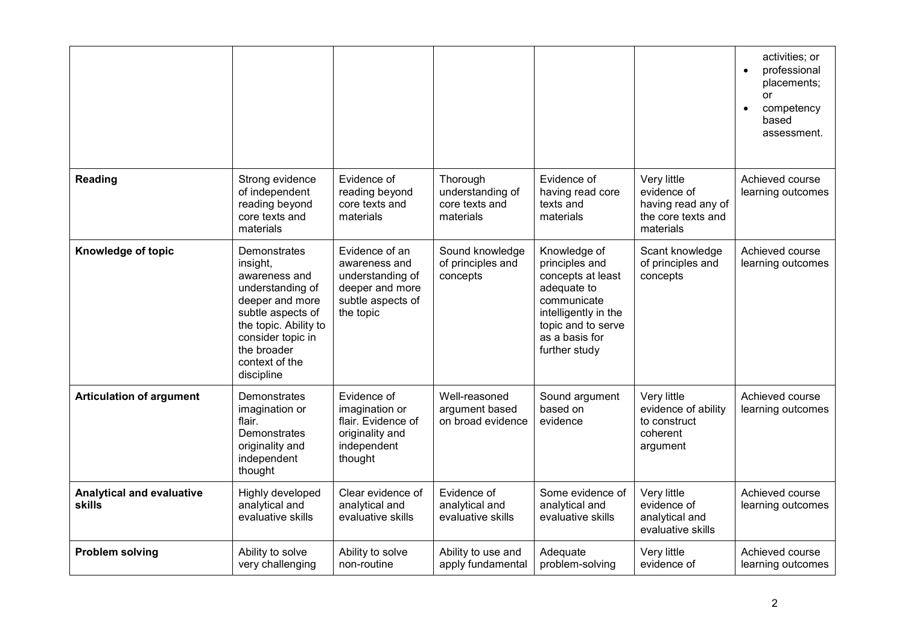|                                                   |                                                                                                                                                                                                    |                                                                                                          |                                                             |                                                                                                                                                                    |                                                                                     | activities; or<br>professional<br>$\bullet$<br>placements;<br>or<br>competency<br>$\bullet$<br>based<br>assessment. |
|---------------------------------------------------|----------------------------------------------------------------------------------------------------------------------------------------------------------------------------------------------------|----------------------------------------------------------------------------------------------------------|-------------------------------------------------------------|--------------------------------------------------------------------------------------------------------------------------------------------------------------------|-------------------------------------------------------------------------------------|---------------------------------------------------------------------------------------------------------------------|
| <b>Reading</b>                                    | Strong evidence<br>of independent<br>reading beyond<br>core texts and<br>materials                                                                                                                 | Evidence of<br>reading beyond<br>core texts and<br>materials                                             | Thorough<br>understanding of<br>core texts and<br>materials | Evidence of<br>having read core<br>texts and<br>materials                                                                                                          | Very little<br>evidence of<br>having read any of<br>the core texts and<br>materials | Achieved course<br>learning outcomes                                                                                |
| Knowledge of topic                                | Demonstrates<br>insight,<br>awareness and<br>understanding of<br>deeper and more<br>subtle aspects of<br>the topic. Ability to<br>consider topic in<br>the broader<br>context of the<br>discipline | Evidence of an<br>awareness and<br>understanding of<br>deeper and more<br>subtle aspects of<br>the topic | Sound knowledge<br>of principles and<br>concepts            | Knowledge of<br>principles and<br>concepts at least<br>adequate to<br>communicate<br>intelligently in the<br>topic and to serve<br>as a basis for<br>further study | Scant knowledge<br>of principles and<br>concepts                                    | Achieved course<br>learning outcomes                                                                                |
| <b>Articulation of argument</b>                   | <b>Demonstrates</b><br>imagination or<br>flair.<br>Demonstrates<br>originality and<br>independent<br>thought                                                                                       | Evidence of<br>imagination or<br>flair. Evidence of<br>originality and<br>independent<br>thought         | Well-reasoned<br>argument based<br>on broad evidence        | Sound argument<br>based on<br>evidence                                                                                                                             | Very little<br>evidence of ability<br>to construct<br>coherent<br>argument          | Achieved course<br>learning outcomes                                                                                |
| <b>Analytical and evaluative</b><br><b>skills</b> | Highly developed<br>analytical and<br>evaluative skills                                                                                                                                            | Clear evidence of<br>analytical and<br>evaluative skills                                                 | Evidence of<br>analytical and<br>evaluative skills          | Some evidence of<br>analytical and<br>evaluative skills                                                                                                            | Very little<br>evidence of<br>analytical and<br>evaluative skills                   | Achieved course<br>learning outcomes                                                                                |
| <b>Problem solving</b>                            | Ability to solve<br>very challenging                                                                                                                                                               | Ability to solve<br>non-routine                                                                          | Ability to use and<br>apply fundamental                     | Adequate<br>problem-solving                                                                                                                                        | Very little<br>evidence of                                                          | Achieved course<br>learning outcomes                                                                                |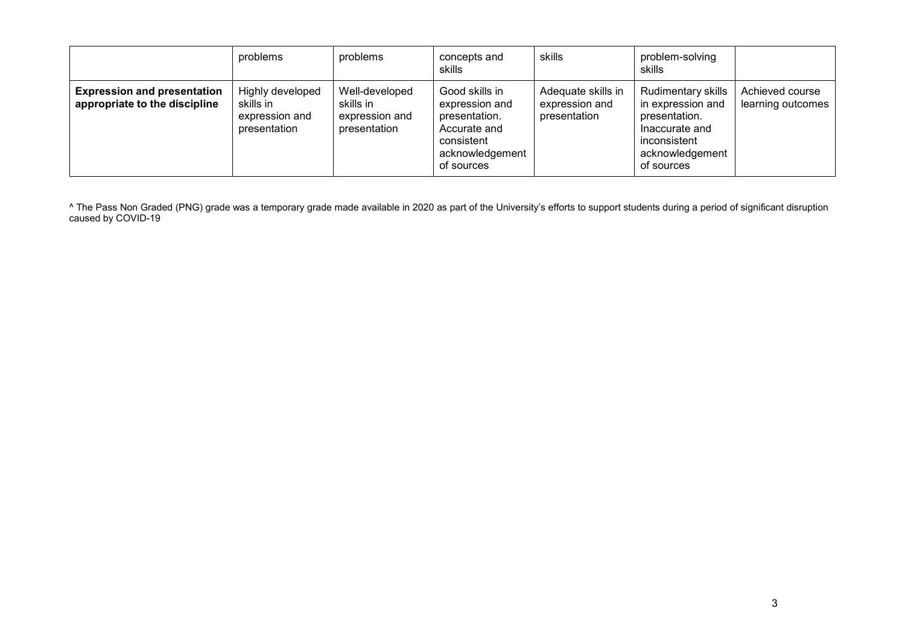|                                                                     | problems                                                        | problems                                                      | concepts and<br>skills                                                                                           | skills                                               | problem-solving<br>skills                                                                                                   |                                      |
|---------------------------------------------------------------------|-----------------------------------------------------------------|---------------------------------------------------------------|------------------------------------------------------------------------------------------------------------------|------------------------------------------------------|-----------------------------------------------------------------------------------------------------------------------------|--------------------------------------|
| <b>Expression and presentation</b><br>appropriate to the discipline | Highly developed<br>skills in<br>expression and<br>presentation | Well-developed<br>skills in<br>expression and<br>presentation | Good skills in<br>expression and<br>presentation.<br>Accurate and<br>consistent<br>acknowledgement<br>of sources | Adequate skills in<br>expression and<br>presentation | Rudimentary skills<br>in expression and<br>presentation.<br>Inaccurate and<br>inconsistent<br>acknowledgement<br>of sources | Achieved course<br>learning outcomes |

^ The Pass Non Graded (PNG) grade was a temporary grade made available in 2020 as part of the University's efforts to support students during a period of significant disruption caused by COVID-19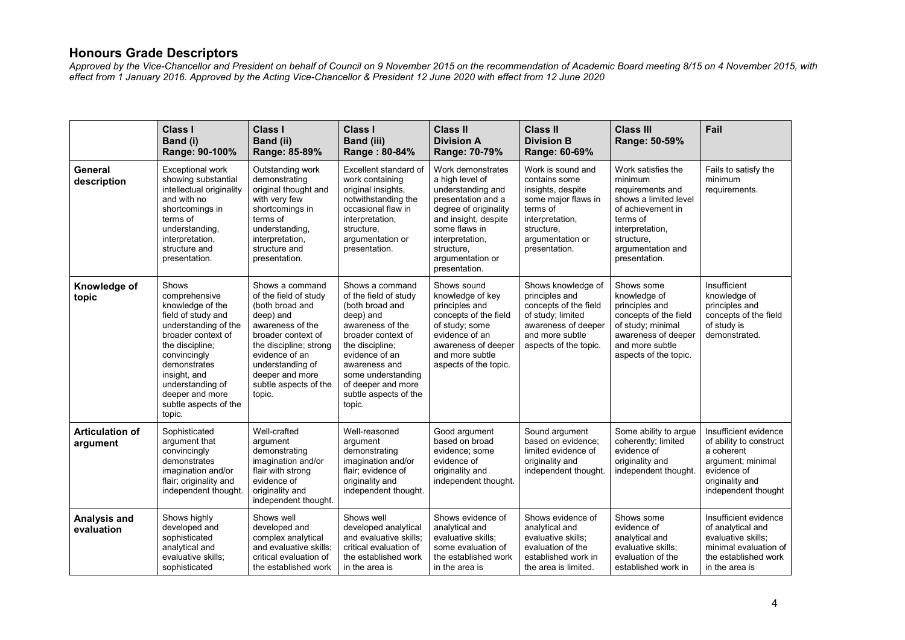## **Honours Grade Descriptors**

Approved by the Vice-Chancellor and President on behalf of Council on 9 November 2015 on the recommendation of Academic Board meeting 8/15 on 4 November 2015, with *effect from 1 January 2016. Approved by the Acting Vice-Chancellor & President 12 June 2020 with effect from 12 June 2020*

|                                    | <b>Class I</b><br>Band (i)<br>Range: 90-100%                                                                                                                                                                                                                | Class I<br>Band (ii)<br>Range: 85-89%                                                                                                                                                                                                    | <b>Class I</b><br><b>Band (iii)</b><br>Range: 80-84%                                                                                                                                                                                                    | <b>Class II</b><br><b>Division A</b><br>Range: 70-79%                                                                                                                                                                   | <b>Class II</b><br><b>Division B</b><br>Range: 60-69%                                                                                                            | <b>Class III</b><br>Range: 50-59%                                                                                                                                                  | Fail                                                                                                                                         |
|------------------------------------|-------------------------------------------------------------------------------------------------------------------------------------------------------------------------------------------------------------------------------------------------------------|------------------------------------------------------------------------------------------------------------------------------------------------------------------------------------------------------------------------------------------|---------------------------------------------------------------------------------------------------------------------------------------------------------------------------------------------------------------------------------------------------------|-------------------------------------------------------------------------------------------------------------------------------------------------------------------------------------------------------------------------|------------------------------------------------------------------------------------------------------------------------------------------------------------------|------------------------------------------------------------------------------------------------------------------------------------------------------------------------------------|----------------------------------------------------------------------------------------------------------------------------------------------|
| General<br>description             | <b>Exceptional work</b><br>showing substantial<br>intellectual originality<br>and with no<br>shortcomings in<br>terms of<br>understanding,<br>interpretation,<br>structure and<br>presentation.                                                             | Outstanding work<br>demonstrating<br>original thought and<br>with very few<br>shortcomings in<br>terms of<br>understanding,<br>interpretation,<br>structure and<br>presentation.                                                         | Excellent standard of<br>work containing<br>original insights,<br>notwithstanding the<br>occasional flaw in<br>interpretation,<br>structure,<br>argumentation or<br>presentation.                                                                       | Work demonstrates<br>a high level of<br>understanding and<br>presentation and a<br>degree of originality<br>and insight, despite<br>some flaws in<br>interpretation,<br>structure,<br>argumentation or<br>presentation. | Work is sound and<br>contains some<br>insights, despite<br>some major flaws in<br>terms of<br>interpretation,<br>structure,<br>argumentation or<br>presentation. | Work satisfies the<br>minimum<br>requirements and<br>shows a limited level<br>of achievement in<br>terms of<br>interpretation,<br>structure,<br>argumentation and<br>presentation. | Fails to satisfy the<br>minimum<br>requirements.                                                                                             |
| Knowledge of<br>topic              | Shows<br>comprehensive<br>knowledge of the<br>field of study and<br>understanding of the<br>broader context of<br>the discipline;<br>convincingly<br>demonstrates<br>insight, and<br>understanding of<br>deeper and more<br>subtle aspects of the<br>topic. | Shows a command<br>of the field of study<br>(both broad and<br>deep) and<br>awareness of the<br>broader context of<br>the discipline; strong<br>evidence of an<br>understanding of<br>deeper and more<br>subtle aspects of the<br>topic. | Shows a command<br>of the field of study<br>(both broad and<br>deep) and<br>awareness of the<br>broader context of<br>the discipline;<br>evidence of an<br>awareness and<br>some understanding<br>of deeper and more<br>subtle aspects of the<br>topic. | Shows sound<br>knowledge of key<br>principles and<br>concepts of the field<br>of study; some<br>evidence of an<br>awareness of deeper<br>and more subtle<br>aspects of the topic.                                       | Shows knowledge of<br>principles and<br>concepts of the field<br>of study; limited<br>awareness of deeper<br>and more subtle<br>aspects of the topic.            | Shows some<br>knowledge of<br>principles and<br>concepts of the field<br>of study; minimal<br>awareness of deeper<br>and more subtle<br>aspects of the topic.                      | Insufficient<br>knowledge of<br>principles and<br>concepts of the field<br>of study is<br>demonstrated.                                      |
| <b>Articulation of</b><br>argument | Sophisticated<br>argument that<br>convincingly<br>demonstrates<br>imagination and/or<br>flair; originality and<br>independent thought.                                                                                                                      | Well-crafted<br>argument<br>demonstrating<br>imagination and/or<br>flair with strong<br>evidence of<br>originality and<br>independent thought.                                                                                           | Well-reasoned<br>argument<br>demonstrating<br>imagination and/or<br>flair; evidence of<br>originality and<br>independent thought.                                                                                                                       | Good argument<br>based on broad<br>evidence; some<br>evidence of<br>originality and<br>independent thought.                                                                                                             | Sound argument<br>based on evidence:<br>limited evidence of<br>originality and<br>independent thought.                                                           | Some ability to argue<br>coherently; limited<br>evidence of<br>originality and<br>independent thought.                                                                             | Insufficient evidence<br>of ability to construct<br>a coherent<br>argument; minimal<br>evidence of<br>originality and<br>independent thought |
| Analysis and<br>evaluation         | Shows highly<br>developed and<br>sophisticated<br>analytical and<br>evaluative skills;<br>sophisticated                                                                                                                                                     | Shows well<br>developed and<br>complex analytical<br>and evaluative skills;<br>critical evaluation of<br>the established work                                                                                                            | Shows well<br>developed analytical<br>and evaluative skills;<br>critical evaluation of<br>the established work<br>in the area is                                                                                                                        | Shows evidence of<br>analytical and<br>evaluative skills;<br>some evaluation of<br>the established work<br>in the area is                                                                                               | Shows evidence of<br>analytical and<br>evaluative skills;<br>evaluation of the<br>established work in<br>the area is limited.                                    | Shows some<br>evidence of<br>analytical and<br>evaluative skills:<br>evaluation of the<br>established work in                                                                      | Insufficient evidence<br>of analytical and<br>evaluative skills;<br>minimal evaluation of<br>the established work<br>in the area is          |